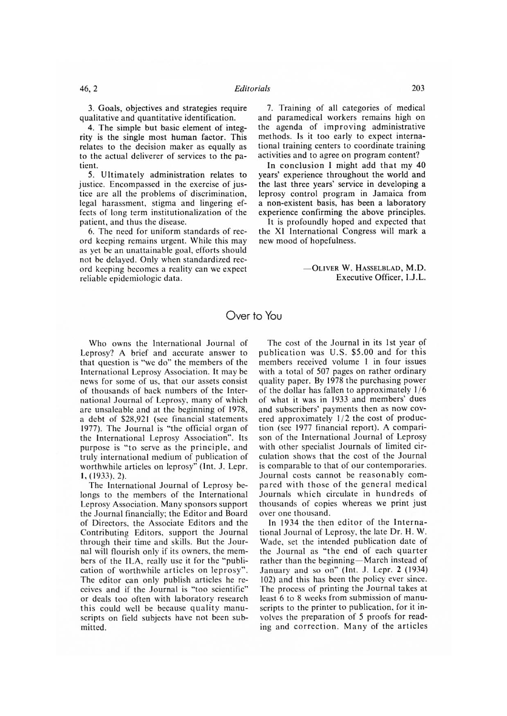## Over to You

Who owns the International Journal of Leprosy? A brief and accurate answer to that question is "we do" the members of the International Leprosy Association. It may be news for some of us, that our assets consist of thousands of hack numbers of the International Journal of Leprosy, many of which are unsaleable and at the beginning of 1978, a debt of \$28,921 (see financial statements 1977). The Journal is "the official organ of the International Leprosy Association". Its purpose is "to serve as the principle, and truly international medium of publication of worthwhile articles on leprosy" (Int. Lepr. 1, (1933), 2).

The International Journal of Leprosy belongs to the members of the International Leprosy Association. Many sponsors support the Journal financially; the Editor and Board of Directors, the Associate Editors and the Contributing Editors, support the Journal through their time and skills. But the Journal will flourish only if its owners, the members of the ILA, really use it for the "publication of worthwhile articles on leprosy". The editor can only publish articles he receives and if the Journal is "too scientific" or deals too often with laboratory research this could well be because quality manuscripts on field subjects have not been submitted.

The cost of the Journal in its 1st year of publication was U.S. \$5.00 and for this members received volume I in four issues with a total of 507 pages on rather ordinary quality paper. By 1978 the purchasing power of the dollar has fallen to approximately 1/6 of what it was in 1933 and members' dues and subscribers' payments then as now covered approximately 1/2 the cost of production (see 1977 financial report). A comparison of the International Journal of Leprosy with other specialist Journals of limited circulation shows that the cost of the Journal is comparable to that of our contemporaries. .lournal costs cannot he reasonably compared with those of the general medical Journals which circulate in hundreds of thousands of copies whereas we print just over one thousand.

In 1934 the then editor of the International Journal of Leprosy, the late Dr. H. W. Wade, set the intended publication date of the Journal as "the end of each quarter rather than the beginning—March instead of January and so on" (Int. J. Lepr. 2 (1934) 102) and this has been the policy ever since. The process of printing the Journal takes at least 6 to 8 weeks from submission of manuscripts to the printer to publication, for it involves the preparation of 5 proofs for reading and correction. Many of the articles